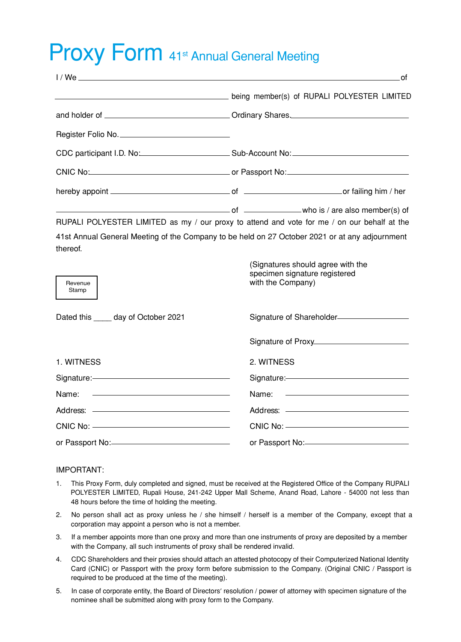## Proxy Form 41st Annual General Meeting

|                                                                                                                               |                                                                                         | . of                                                    |  |
|-------------------------------------------------------------------------------------------------------------------------------|-----------------------------------------------------------------------------------------|---------------------------------------------------------|--|
| being member(s) of RUPALI POLYESTER LIMITED                                                                                   |                                                                                         |                                                         |  |
|                                                                                                                               |                                                                                         |                                                         |  |
| Register Folio No.                                                                                                            |                                                                                         |                                                         |  |
|                                                                                                                               |                                                                                         |                                                         |  |
|                                                                                                                               |                                                                                         |                                                         |  |
|                                                                                                                               |                                                                                         |                                                         |  |
| and the same of the same who is / are also member(s) of                                                                       |                                                                                         |                                                         |  |
| RUPALI POLYESTER LIMITED as my / our proxy to attend and vote for me / on our behalf at the                                   |                                                                                         |                                                         |  |
| 41st Annual General Meeting of the Company to be held on 27 October 2021 or at any adjournment<br>thereof.                    |                                                                                         |                                                         |  |
| Revenue<br>Stamp                                                                                                              | (Signatures should agree with the<br>specimen signature registered<br>with the Company) |                                                         |  |
| Dated this _____ day of October 2021                                                                                          | Signature of Shareholder <sub>-1</sub>                                                  |                                                         |  |
|                                                                                                                               |                                                                                         |                                                         |  |
| 1. WITNESS                                                                                                                    | 2. WITNESS                                                                              |                                                         |  |
| Signature:-                                                                                                                   | Signature:-                                                                             |                                                         |  |
| Name:<br><u> Alexandria de la contrada de la contrada de la contrada de la contrada de la contrada de la contrada de la c</u> | Name:                                                                                   | <u> 2000 - John Stone, Amerikaans en Stone († 1878)</u> |  |
|                                                                                                                               |                                                                                         |                                                         |  |
|                                                                                                                               | CNIC No: ______________________________                                                 |                                                         |  |
|                                                                                                                               | or Passport No: 2008                                                                    |                                                         |  |

## IMPORTANT:

- 1. This Proxy Form, duly completed and signed, must be received at the Registered Office of the Company RUPALI POLYESTER LIMITED, Rupali House, 241-242 Upper Mall Scheme, Anand Road, Lahore - 54000 not less than 48 hours before the time of holding the meeting.
- 2. No person shall act as proxy unless he / she himself / herself is a member of the Company, except that a corporation may appoint a person who is not a member.
- 3. If a member appoints more than one proxy and more than one instruments of proxy are deposited by a member with the Company, all such instruments of proxy shall be rendered invalid.
- 4. CDC Shareholders and their proxies should attach an attested photocopy of their Computerized National Identity Card (CNIC) or Passport with the proxy form before submission to the Company. (Original CNIC / Passport is required to be produced at the time of the meeting).
- 5. In case of corporate entity, the Board of Directors' resolution / power of attorney with specimen signature of the nominee shall be submitted along with proxy form to the Company.